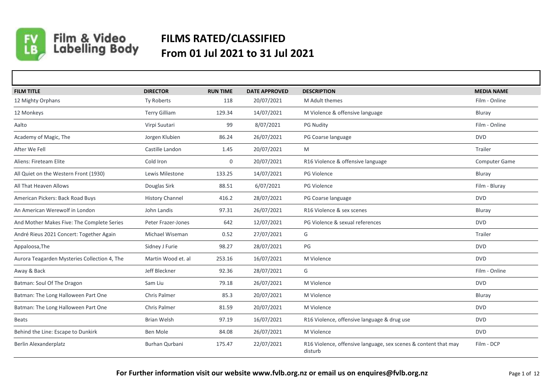

## Film & Video<br>Labelling Body **FILMS RATED/CLASSIFIED From 01 Jul 2021 to 31 Jul 2021**

| <b>FILM TITLE</b>                            | <b>DIRECTOR</b>        | <b>RUN TIME</b> | <b>DATE APPROVED</b> | <b>DESCRIPTION</b>                                                         | <b>MEDIA NAME</b> |
|----------------------------------------------|------------------------|-----------------|----------------------|----------------------------------------------------------------------------|-------------------|
| 12 Mighty Orphans                            | Ty Roberts             | 118             | 20/07/2021           | M Adult themes                                                             | Film - Online     |
| 12 Monkeys                                   | <b>Terry Gilliam</b>   | 129.34          | 14/07/2021           | M Violence & offensive language                                            | Bluray            |
| Aalto                                        | Virpi Suutari          | 99              | 8/07/2021            | <b>PG Nudity</b>                                                           | Film - Online     |
| Academy of Magic, The                        | Jorgen Klubien         | 86.24           | 26/07/2021           | PG Coarse language                                                         | <b>DVD</b>        |
| After We Fell                                | Castille Landon        | 1.45            | 20/07/2021           | M                                                                          | Trailer           |
| Aliens: Fireteam Elite                       | Cold Iron              | $\mathbf 0$     | 20/07/2021           | R16 Violence & offensive language                                          | Computer Game     |
| All Quiet on the Western Front (1930)        | Lewis Milestone        | 133.25          | 14/07/2021           | PG Violence                                                                | Bluray            |
| All That Heaven Allows                       | Douglas Sirk           | 88.51           | 6/07/2021            | PG Violence                                                                | Film - Bluray     |
| American Pickers: Back Road Buys             | <b>History Channel</b> | 416.2           | 28/07/2021           | PG Coarse language                                                         | <b>DVD</b>        |
| An American Werewolf in London               | John Landis            | 97.31           | 26/07/2021           | R16 Violence & sex scenes                                                  | Bluray            |
| And Mother Makes Five: The Complete Series   | Peter Frazer-Jones     | 642             | 12/07/2021           | PG Violence & sexual references                                            | <b>DVD</b>        |
| André Rieus 2021 Concert: Together Again     | Michael Wiseman        | 0.52            | 27/07/2021           | G                                                                          | Trailer           |
| Appaloosa, The                               | Sidney J Furie         | 98.27           | 28/07/2021           | PG                                                                         | <b>DVD</b>        |
| Aurora Teagarden Mysteries Collection 4, The | Martin Wood et. al     | 253.16          | 16/07/2021           | M Violence                                                                 | <b>DVD</b>        |
| Away & Back                                  | Jeff Bleckner          | 92.36           | 28/07/2021           | G                                                                          | Film - Online     |
| Batman: Soul Of The Dragon                   | Sam Liu                | 79.18           | 26/07/2021           | M Violence                                                                 | <b>DVD</b>        |
| Batman: The Long Halloween Part One          | <b>Chris Palmer</b>    | 85.3            | 20/07/2021           | M Violence                                                                 | Bluray            |
| Batman: The Long Halloween Part One          | <b>Chris Palmer</b>    | 81.59           | 20/07/2021           | M Violence                                                                 | <b>DVD</b>        |
| <b>Beats</b>                                 | <b>Brian Welsh</b>     | 97.19           | 16/07/2021           | R16 Violence, offensive language & drug use                                | <b>DVD</b>        |
| Behind the Line: Escape to Dunkirk           | Ben Mole               | 84.08           | 26/07/2021           | M Violence                                                                 | <b>DVD</b>        |
| Berlin Alexanderplatz                        | <b>Burhan Qurbani</b>  | 175.47          | 22/07/2021           | R16 Violence, offensive language, sex scenes & content that may<br>disturb | Film - DCP        |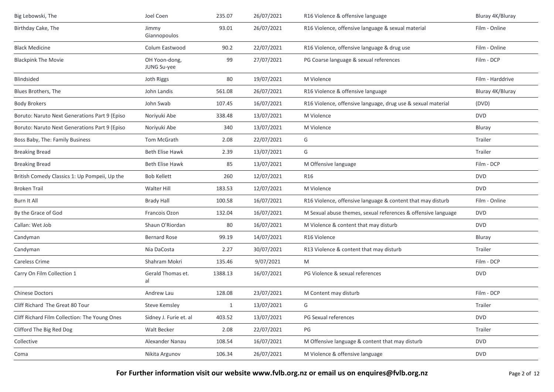| Big Lebowski, The                             | Joel Coen                    | 235.07  | 26/07/2021 | R16 Violence & offensive language                             | Bluray 4K/Bluray |
|-----------------------------------------------|------------------------------|---------|------------|---------------------------------------------------------------|------------------|
| Birthday Cake, The                            | Jimmy<br>Giannopoulos        | 93.01   | 26/07/2021 | R16 Violence, offensive language & sexual material            | Film - Online    |
| <b>Black Medicine</b>                         | Colum Eastwood               | 90.2    | 22/07/2021 | R16 Violence, offensive language & drug use                   | Film - Online    |
| <b>Blackpink The Movie</b>                    | OH Yoon-dong,<br>JUNG Su-yee | 99      | 27/07/2021 | PG Coarse language & sexual references                        | Film - DCP       |
| Blindsided                                    | Joth Riggs                   | 80      | 19/07/2021 | M Violence                                                    | Film - Harddrive |
| Blues Brothers, The                           | John Landis                  | 561.08  | 26/07/2021 | R16 Violence & offensive language                             | Bluray 4K/Bluray |
| <b>Body Brokers</b>                           | John Swab                    | 107.45  | 16/07/2021 | R16 Violence, offensive language, drug use & sexual material  | (DVD)            |
| Boruto: Naruto Next Generations Part 9 (Episo | Noriyuki Abe                 | 338.48  | 13/07/2021 | M Violence                                                    | <b>DVD</b>       |
| Boruto: Naruto Next Generations Part 9 (Episo | Noriyuki Abe                 | 340     | 13/07/2021 | M Violence                                                    | Bluray           |
| Boss Baby, The: Family Business               | Tom McGrath                  | 2.08    | 22/07/2021 | G                                                             | Trailer          |
| <b>Breaking Bread</b>                         | <b>Beth Elise Hawk</b>       | 2.39    | 13/07/2021 | G                                                             | Trailer          |
| <b>Breaking Bread</b>                         | <b>Beth Elise Hawk</b>       | 85      | 13/07/2021 | M Offensive language                                          | Film - DCP       |
| British Comedy Classics 1: Up Pompeii, Up the | <b>Bob Kellett</b>           | 260     | 12/07/2021 | R16                                                           | <b>DVD</b>       |
| <b>Broken Trail</b>                           | Walter Hill                  | 183.53  | 12/07/2021 | M Violence                                                    | <b>DVD</b>       |
| Burn It All                                   | <b>Brady Hall</b>            | 100.58  | 16/07/2021 | R16 Violence, offensive language & content that may disturb   | Film - Online    |
| By the Grace of God                           | Francois Ozon                | 132.04  | 16/07/2021 | M Sexual abuse themes, sexual references & offensive language | <b>DVD</b>       |
| Callan: Wet Job                               | Shaun O'Riordan              | 80      | 16/07/2021 | M Violence & content that may disturb                         | <b>DVD</b>       |
| Candyman                                      | <b>Bernard Rose</b>          | 99.19   | 14/07/2021 | R16 Violence                                                  | Bluray           |
| Candyman                                      | Nia DaCosta                  | 2.27    | 30/07/2021 | R13 Violence & content that may disturb                       | Trailer          |
| Careless Crime                                | Shahram Mokri                | 135.46  | 9/07/2021  | M                                                             | Film - DCP       |
| Carry On Film Collection 1                    | Gerald Thomas et.<br>al      | 1388.13 | 16/07/2021 | PG Violence & sexual references                               | <b>DVD</b>       |
| <b>Chinese Doctors</b>                        | Andrew Lau                   | 128.08  | 23/07/2021 | M Content may disturb                                         | Film - DCP       |
| Cliff Richard The Great 80 Tour               | <b>Steve Kemsley</b>         | 1       | 13/07/2021 | G                                                             | Trailer          |
| Cliff Richard Film Collection: The Young Ones | Sidney J. Furie et. al       | 403.52  | 13/07/2021 | PG Sexual references                                          | <b>DVD</b>       |
| Clifford The Big Red Dog                      | Walt Becker                  | 2.08    | 22/07/2021 | PG                                                            | Trailer          |
| Collective                                    | Alexander Nanau              | 108.54  | 16/07/2021 | M Offensive language & content that may disturb               | <b>DVD</b>       |
| Coma                                          | Nikita Argunov               | 106.34  | 26/07/2021 | M Violence & offensive language                               | <b>DVD</b>       |
|                                               |                              |         |            |                                                               |                  |

For Further information visit our website www.fvlb.org.nz or email us on enquires@fvlb.org.nz<br>Page 2 of 12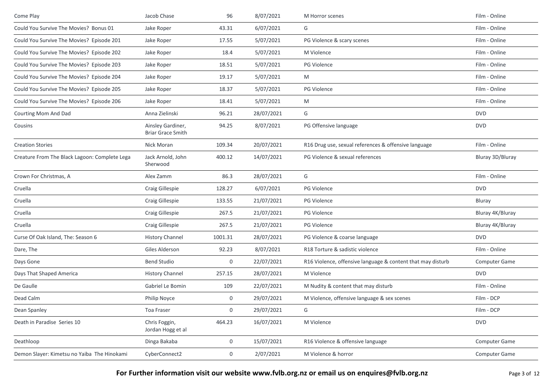| Come Play                                     | Jacob Chase                                   | 96      | 8/07/2021  | M Horror scenes                                             | Film - Online    |
|-----------------------------------------------|-----------------------------------------------|---------|------------|-------------------------------------------------------------|------------------|
| Could You Survive The Movies? Bonus 01        | Jake Roper                                    | 43.31   | 6/07/2021  | G                                                           | Film - Online    |
| Could You Survive The Movies? Episode 201     | Jake Roper                                    | 17.55   | 5/07/2021  | PG Violence & scary scenes                                  | Film - Online    |
| Could You Survive The Movies? Episode 202     | Jake Roper                                    | 18.4    | 5/07/2021  | M Violence                                                  | Film - Online    |
| Could You Survive The Movies? Episode 203     | Jake Roper                                    | 18.51   | 5/07/2021  | <b>PG Violence</b>                                          | Film - Online    |
| Could You Survive The Movies? Episode 204     | Jake Roper                                    | 19.17   | 5/07/2021  | M                                                           | Film - Online    |
| Could You Survive The Movies? Episode 205     | Jake Roper                                    | 18.37   | 5/07/2021  | PG Violence                                                 | Film - Online    |
| Could You Survive The Movies? Episode 206     | Jake Roper                                    | 18.41   | 5/07/2021  | M                                                           | Film - Online    |
| Courting Mom And Dad                          | Anna Zielinski                                | 96.21   | 28/07/2021 | G                                                           | <b>DVD</b>       |
| Cousins                                       | Ainsley Gardiner,<br><b>Briar Grace Smith</b> | 94.25   | 8/07/2021  | PG Offensive language                                       | <b>DVD</b>       |
| <b>Creation Stories</b>                       | Nick Moran                                    | 109.34  | 20/07/2021 | R16 Drug use, sexual references & offensive language        | Film - Online    |
| Creature From The Black Lagoon: Complete Lega | Jack Arnold, John<br>Sherwood                 | 400.12  | 14/07/2021 | PG Violence & sexual references                             | Bluray 3D/Bluray |
| Crown For Christmas, A                        | Alex Zamm                                     | 86.3    | 28/07/2021 | G                                                           | Film - Online    |
| Cruella                                       | Craig Gillespie                               | 128.27  | 6/07/2021  | <b>PG Violence</b>                                          | <b>DVD</b>       |
| Cruella                                       | Craig Gillespie                               | 133.55  | 21/07/2021 | PG Violence                                                 | Bluray           |
| Cruella                                       | <b>Craig Gillespie</b>                        | 267.5   | 21/07/2021 | <b>PG Violence</b>                                          | Bluray 4K/Bluray |
| Cruella                                       | Craig Gillespie                               | 267.5   | 21/07/2021 | PG Violence                                                 | Bluray 4K/Bluray |
| Curse Of Oak Island, The: Season 6            | <b>History Channel</b>                        | 1001.31 | 28/07/2021 | PG Violence & coarse language                               | <b>DVD</b>       |
| Dare, The                                     | Giles Alderson                                | 92.23   | 8/07/2021  | R18 Torture & sadistic violence                             | Film - Online    |
| Days Gone                                     | <b>Bend Studio</b>                            | 0       | 22/07/2021 | R16 Violence, offensive language & content that may disturb | Computer Game    |
| Days That Shaped America                      | <b>History Channel</b>                        | 257.15  | 28/07/2021 | M Violence                                                  | <b>DVD</b>       |
| De Gaulle                                     | Gabriel Le Bomin                              | 109     | 22/07/2021 | M Nudity & content that may disturb                         | Film - Online    |
| Dead Calm                                     | Philip Noyce                                  | 0       | 29/07/2021 | M Violence, offensive language & sex scenes                 | Film - DCP       |
| Dean Spanley                                  | Toa Fraser                                    | 0       | 29/07/2021 | G                                                           | Film - DCP       |
| Death in Paradise Series 10                   | Chris Foggin,<br>Jordan Hogg et al            | 464.23  | 16/07/2021 | M Violence                                                  | <b>DVD</b>       |
| Deathloop                                     | Dinga Bakaba                                  | 0       | 15/07/2021 | R16 Violence & offensive language                           | Computer Game    |
| Demon Slayer: Kimetsu no Yaiba The Hinokami   | CyberConnect2                                 | 0       | 2/07/2021  | M Violence & horror                                         | Computer Game    |
|                                               |                                               |         |            |                                                             |                  |

**For Further information visit our website www.fvlb.org.nz or email us on enquires@fvlb.org.nz** Page 3 of 12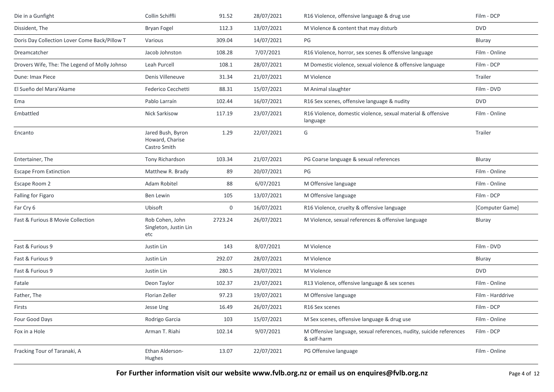| Die in a Gunfight                             | Collin Schiffli                                      | 91.52   | 28/07/2021 | R16 Violence, offensive language & drug use                                        | Film - DCP       |
|-----------------------------------------------|------------------------------------------------------|---------|------------|------------------------------------------------------------------------------------|------------------|
| Dissident, The                                | Bryan Fogel                                          | 112.3   | 13/07/2021 | M Violence & content that may disturb                                              | <b>DVD</b>       |
| Doris Day Collection Lover Come Back/Pillow T | Various                                              | 309.04  | 14/07/2021 | PG                                                                                 | Bluray           |
| Dreamcatcher                                  | Jacob Johnston                                       | 108.28  | 7/07/2021  | R16 Violence, horror, sex scenes & offensive language                              | Film - Online    |
| Drovers Wife, The: The Legend of Molly Johnso | Leah Purcell                                         | 108.1   | 28/07/2021 | M Domestic violence, sexual violence & offensive language                          | Film - DCP       |
| Dune: Imax Piece                              | Denis Villeneuve                                     | 31.34   | 21/07/2021 | M Violence                                                                         | Trailer          |
| El Sueño del Mara'Akame                       | Federico Cecchetti                                   | 88.31   | 15/07/2021 | M Animal slaughter                                                                 | Film - DVD       |
| Ema                                           | Pablo Larraín                                        | 102.44  | 16/07/2021 | R16 Sex scenes, offensive language & nudity                                        | <b>DVD</b>       |
| Embattled                                     | Nick Sarkisow                                        | 117.19  | 23/07/2021 | R16 Violence, domestic violence, sexual material & offensive<br>language           | Film - Online    |
| Encanto                                       | Jared Bush, Byron<br>Howard, Charise<br>Castro Smith | 1.29    | 22/07/2021 | G                                                                                  | Trailer          |
| Entertainer, The                              | Tony Richardson                                      | 103.34  | 21/07/2021 | PG Coarse language & sexual references                                             | Bluray           |
| <b>Escape From Extinction</b>                 | Matthew R. Brady                                     | 89      | 20/07/2021 | PG                                                                                 | Film - Online    |
| Escape Room 2                                 | Adam Robitel                                         | 88      | 6/07/2021  | M Offensive language                                                               | Film - Online    |
| Falling for Figaro                            | Ben Lewin                                            | 105     | 13/07/2021 | M Offensive language                                                               | Film - DCP       |
| Far Cry 6                                     | Ubisoft                                              | 0       | 16/07/2021 | R16 Violence, cruelty & offensive language                                         | [Computer Game]  |
| Fast & Furious 8 Movie Collection             | Rob Cohen, John<br>Singleton, Justin Lin<br>etc      | 2723.24 | 26/07/2021 | M Violence, sexual references & offensive language                                 | Bluray           |
| Fast & Furious 9                              | Justin Lin                                           | 143     | 8/07/2021  | M Violence                                                                         | Film - DVD       |
| Fast & Furious 9                              | Justin Lin                                           | 292.07  | 28/07/2021 | M Violence                                                                         | Bluray           |
| Fast & Furious 9                              | Justin Lin                                           | 280.5   | 28/07/2021 | M Violence                                                                         | <b>DVD</b>       |
| Fatale                                        | Deon Taylor                                          | 102.37  | 23/07/2021 | R13 Violence, offensive language & sex scenes                                      | Film - Online    |
| Father, The                                   | Florian Zeller                                       | 97.23   | 19/07/2021 | M Offensive language                                                               | Film - Harddrive |
| Firsts                                        | Jesse Ung                                            | 16.49   | 26/07/2021 | R16 Sex scenes                                                                     | Film - DCP       |
| Four Good Days                                | Rodrigo Garcia                                       | 103     | 15/07/2021 | M Sex scenes, offensive language & drug use                                        | Film - Online    |
| Fox in a Hole                                 | Arman T. Riahi                                       | 102.14  | 9/07/2021  | M Offensive language, sexual references, nudity, suicide references<br>& self-harm | Film - DCP       |
| Fracking Tour of Taranaki, A                  | Ethan Alderson-<br>Hughes                            | 13.07   | 22/07/2021 | PG Offensive language                                                              | Film - Online    |

For Further information visit our website www.fvlb.org.nz or email us on enquires@fvlb.org.nz<br>Page 4 of 12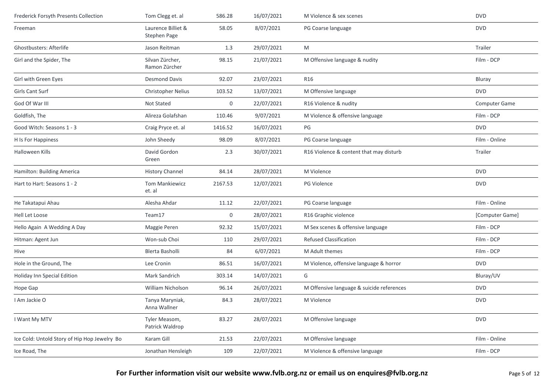| Frederick Forsyth Presents Collection        | Tom Clegg et. al                   | 586.28      | 16/07/2021 | M Violence & sex scenes                   | <b>DVD</b>      |
|----------------------------------------------|------------------------------------|-------------|------------|-------------------------------------------|-----------------|
| Freeman                                      | Laurence Billiet &<br>Stephen Page | 58.05       | 8/07/2021  | PG Coarse language                        | <b>DVD</b>      |
| Ghostbusters: Afterlife                      | Jason Reitman                      | 1.3         | 29/07/2021 | M                                         | Trailer         |
| Girl and the Spider, The                     | Silvan Zürcher,<br>Ramon Zürcher   | 98.15       | 21/07/2021 | M Offensive language & nudity             | Film - DCP      |
| Girl with Green Eyes                         | <b>Desmond Davis</b>               | 92.07       | 23/07/2021 | R <sub>16</sub>                           | Bluray          |
| <b>Girls Cant Surf</b>                       | <b>Christopher Nelius</b>          | 103.52      | 13/07/2021 | M Offensive language                      | <b>DVD</b>      |
| God Of War III                               | Not Stated                         | $\mathbf 0$ | 22/07/2021 | R16 Violence & nudity                     | Computer Game   |
| Goldfish, The                                | Alireza Golafshan                  | 110.46      | 9/07/2021  | M Violence & offensive language           | Film - DCP      |
| Good Witch: Seasons 1 - 3                    | Craig Pryce et. al                 | 1416.52     | 16/07/2021 | PG                                        | <b>DVD</b>      |
| H Is For Happiness                           | John Sheedy                        | 98.09       | 8/07/2021  | PG Coarse language                        | Film - Online   |
| Halloween Kills                              | David Gordon<br>Green              | 2.3         | 30/07/2021 | R16 Violence & content that may disturb   | Trailer         |
| Hamilton: Building America                   | <b>History Channel</b>             | 84.14       | 28/07/2021 | M Violence                                | <b>DVD</b>      |
| Hart to Hart: Seasons 1 - 2                  | <b>Tom Mankiewicz</b><br>et. al    | 2167.53     | 12/07/2021 | <b>PG Violence</b>                        | <b>DVD</b>      |
| He Takatapui Ahau                            | Alesha Ahdar                       | 11.12       | 22/07/2021 | PG Coarse language                        | Film - Online   |
| Hell Let Loose                               | Team17                             | $\mathbf 0$ | 28/07/2021 | R16 Graphic violence                      | [Computer Game] |
| Hello Again A Wedding A Day                  | Maggie Peren                       | 92.32       | 15/07/2021 | M Sex scenes & offensive language         | Film - DCP      |
| Hitman: Agent Jun                            | Won-sub Choi                       | 110         | 29/07/2021 | <b>Refused Classification</b>             | Film - DCP      |
| Hive                                         | Blerta Basholli                    | 84          | 6/07/2021  | M Adult themes                            | Film - DCP      |
| Hole in the Ground, The                      | Lee Cronin                         | 86.51       | 16/07/2021 | M Violence, offensive language & horror   | <b>DVD</b>      |
| Holiday Inn Special Edition                  | Mark Sandrich                      | 303.14      | 14/07/2021 | G                                         | Bluray/UV       |
| Hope Gap                                     | William Nicholson                  | 96.14       | 26/07/2021 | M Offensive language & suicide references | <b>DVD</b>      |
| I Am Jackie O                                | Tanya Maryniak,<br>Anna Wallner    | 84.3        | 28/07/2021 | M Violence                                | <b>DVD</b>      |
| I Want My MTV                                | Tyler Measom,<br>Patrick Waldrop   | 83.27       | 28/07/2021 | M Offensive language                      | <b>DVD</b>      |
| Ice Cold: Untold Story of Hip Hop Jewelry Bo | Karam Gill                         | 21.53       | 22/07/2021 | M Offensive language                      | Film - Online   |
| Ice Road, The                                | Jonathan Hensleigh                 | 109         | 22/07/2021 | M Violence & offensive language           | Film - DCP      |
|                                              |                                    |             |            |                                           |                 |

**For Further information visit our website www.fvlb.org.nz or email us on enquires@fvlb.org.nz** Page 5 of 12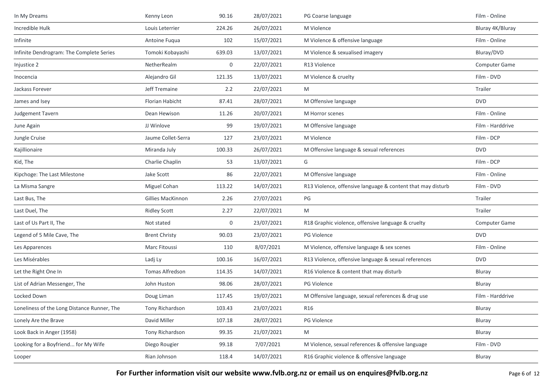| In My Dreams                                | Kenny Leon               | 90.16  | 28/07/2021 | PG Coarse language                                          | Film - Online    |
|---------------------------------------------|--------------------------|--------|------------|-------------------------------------------------------------|------------------|
| Incredible Hulk                             | Louis Leterrier          | 224.26 | 26/07/2021 | M Violence                                                  | Bluray 4K/Bluray |
| Infinite                                    | Antoine Fugua            | 102    | 15/07/2021 | M Violence & offensive language                             | Film - Online    |
| Infinite Dendrogram: The Complete Series    | Tomoki Kobayashi         | 639.03 | 13/07/2021 | M Violence & sexualised imagery                             | Bluray/DVD       |
| Injustice 2                                 | NetherRealm              | 0      | 22/07/2021 | R13 Violence                                                | Computer Game    |
| Inocencia                                   | Alejandro Gil            | 121.35 | 13/07/2021 | M Violence & cruelty                                        | Film - DVD       |
| Jackass Forever                             | Jeff Tremaine            | 2.2    | 22/07/2021 | M                                                           | Trailer          |
| James and Isey                              | Florian Habicht          | 87.41  | 28/07/2021 | M Offensive language                                        | <b>DVD</b>       |
| Judgement Tavern                            | Dean Hewison             | 11.26  | 20/07/2021 | M Horror scenes                                             | Film - Online    |
| June Again                                  | JJ Winlove               | 99     | 19/07/2021 | M Offensive language                                        | Film - Harddrive |
| Jungle Cruise                               | Jaume Collet-Serra       | 127    | 23/07/2021 | M Violence                                                  | Film - DCP       |
| Kajillionaire                               | Miranda July             | 100.33 | 26/07/2021 | M Offensive language & sexual references                    | <b>DVD</b>       |
| Kid, The                                    | Charlie Chaplin          | 53     | 13/07/2021 | G                                                           | Film - DCP       |
| Kipchoge: The Last Milestone                | Jake Scott               | 86     | 22/07/2021 | M Offensive language                                        | Film - Online    |
| La Misma Sangre                             | Miguel Cohan             | 113.22 | 14/07/2021 | R13 Violence, offensive language & content that may disturb | Film - DVD       |
| Last Bus, The                               | <b>Gillies MacKinnon</b> | 2.26   | 27/07/2021 | PG                                                          | Trailer          |
| Last Duel, The                              | <b>Ridley Scott</b>      | 2.27   | 22/07/2021 | M                                                           | Trailer          |
| Last of Us Part II, The                     | Not stated               | 0      | 23/07/2021 | R18 Graphic violence, offensive language & cruelty          | Computer Game    |
| Legend of 5 Mile Cave, The                  | <b>Brent Christy</b>     | 90.03  | 23/07/2021 | PG Violence                                                 | <b>DVD</b>       |
| Les Apparences                              | Marc Fitoussi            | 110    | 8/07/2021  | M Violence, offensive language & sex scenes                 | Film - Online    |
| Les Misérables                              | Ladj Ly                  | 100.16 | 16/07/2021 | R13 Violence, offensive language & sexual references        | <b>DVD</b>       |
| Let the Right One In                        | Tomas Alfredson          | 114.35 | 14/07/2021 | R16 Violence & content that may disturb                     | Bluray           |
| List of Adrian Messenger, The               | John Huston              | 98.06  | 28/07/2021 | <b>PG Violence</b>                                          | Bluray           |
| Locked Down                                 | Doug Liman               | 117.45 | 19/07/2021 | M Offensive language, sexual references & drug use          | Film - Harddrive |
| Loneliness of the Long Distance Runner, The | Tony Richardson          | 103.43 | 23/07/2021 | R16                                                         | Bluray           |
| Lonely Are the Brave                        | David Miller             | 107.18 | 28/07/2021 | PG Violence                                                 | Bluray           |
| Look Back in Anger (1958)                   | Tony Richardson          | 99.35  | 21/07/2021 | M                                                           | Bluray           |
| Looking for a Boyfriend for My Wife         | Diego Rougier            | 99.18  | 7/07/2021  | M Violence, sexual references & offensive language          | Film - DVD       |
| Looper                                      | Rian Johnson             | 118.4  | 14/07/2021 | R16 Graphic violence & offensive language                   | Bluray           |
|                                             |                          |        |            |                                                             |                  |

**For Further information visit our website www.fvlb.org.nz or email us on enquires@fvlb.org.nz** Page 6 of 12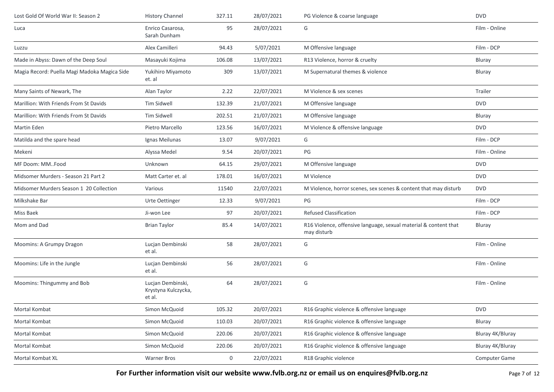| Lost Gold Of World War II: Season 2          | <b>History Channel</b>                             | 327.11 | 28/07/2021 | PG Violence & coarse language                                                   | <b>DVD</b>       |
|----------------------------------------------|----------------------------------------------------|--------|------------|---------------------------------------------------------------------------------|------------------|
| Luca                                         | Enrico Casarosa,<br>Sarah Dunham                   | 95     | 28/07/2021 | G                                                                               | Film - Online    |
| Luzzu                                        | Alex Camilleri                                     | 94.43  | 5/07/2021  | M Offensive language                                                            | Film - DCP       |
| Made in Abyss: Dawn of the Deep Soul         | Masayuki Kojima                                    | 106.08 | 13/07/2021 | R13 Violence, horror & cruelty                                                  | Bluray           |
| Magia Record: Puella Magi Madoka Magica Side | Yukihiro Miyamoto<br>et. al                        | 309    | 13/07/2021 | M Supernatural themes & violence                                                | Bluray           |
| Many Saints of Newark, The                   | Alan Taylor                                        | 2.22   | 22/07/2021 | M Violence & sex scenes                                                         | Trailer          |
| Marillion: With Friends From St Davids       | <b>Tim Sidwell</b>                                 | 132.39 | 21/07/2021 | M Offensive language                                                            | <b>DVD</b>       |
| Marillion: With Friends From St Davids       | Tim Sidwell                                        | 202.51 | 21/07/2021 | M Offensive language                                                            | Bluray           |
| Martin Eden                                  | Pietro Marcello                                    | 123.56 | 16/07/2021 | M Violence & offensive language                                                 | <b>DVD</b>       |
| Matilda and the spare head                   | Ignas Meilunas                                     | 13.07  | 9/07/2021  | G                                                                               | Film - DCP       |
| Mekeni                                       | Alyssa Medel                                       | 9.54   | 20/07/2021 | PG                                                                              | Film - Online    |
| MF Doom: MM. Food                            | Unknown                                            | 64.15  | 29/07/2021 | M Offensive language                                                            | <b>DVD</b>       |
| Midsomer Murders - Season 21 Part 2          | Matt Carter et. al                                 | 178.01 | 16/07/2021 | M Violence                                                                      | <b>DVD</b>       |
| Midsomer Murders Season 1 20 Collection      | Various                                            | 11540  | 22/07/2021 | M Violence, horror scenes, sex scenes & content that may disturb                | <b>DVD</b>       |
| Milkshake Bar                                | Urte Oettinger                                     | 12.33  | 9/07/2021  | PG                                                                              | Film - DCP       |
| Miss Baek                                    | Ji-won Lee                                         | 97     | 20/07/2021 | <b>Refused Classification</b>                                                   | Film - DCP       |
| Mom and Dad                                  | <b>Brian Taylor</b>                                | 85.4   | 14/07/2021 | R16 Violence, offensive language, sexual material & content that<br>may disturb | Bluray           |
| Moomins: A Grumpy Dragon                     | Lucjan Dembinski<br>et al.                         | 58     | 28/07/2021 | G                                                                               | Film - Online    |
| Moomins: Life in the Jungle                  | Lucjan Dembinski<br>et al.                         | 56     | 28/07/2021 | G                                                                               | Film - Online    |
| Moomins: Thingummy and Bob                   | Lucjan Dembinski,<br>Krystyna Kulczycka,<br>et al. | 64     | 28/07/2021 | G                                                                               | Film - Online    |
| Mortal Kombat                                | Simon McQuoid                                      | 105.32 | 20/07/2021 | R16 Graphic violence & offensive language                                       | <b>DVD</b>       |
| Mortal Kombat                                | Simon McQuoid                                      | 110.03 | 20/07/2021 | R16 Graphic violence & offensive language                                       | Bluray           |
| Mortal Kombat                                | Simon McQuoid                                      | 220.06 | 20/07/2021 | R16 Graphic violence & offensive language                                       | Bluray 4K/Bluray |
| Mortal Kombat                                | Simon McQuoid                                      | 220.06 | 20/07/2021 | R16 Graphic violence & offensive language                                       | Bluray 4K/Bluray |
| Mortal Kombat XL                             | <b>Warner Bros</b>                                 | 0      | 22/07/2021 | R18 Graphic violence                                                            | Computer Game    |

**For Further information visit our website www.fvlb.org.nz or email us on enquires@fvlb.org.nz** Page 7 of 12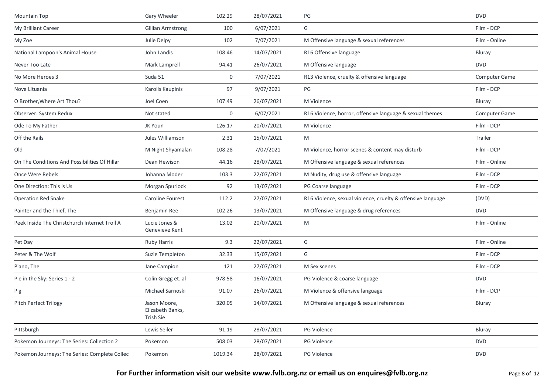| Mountain Top                                  | Gary Wheeler                                  | 102.29  | 28/07/2021 | PG                                                          | <b>DVD</b>    |
|-----------------------------------------------|-----------------------------------------------|---------|------------|-------------------------------------------------------------|---------------|
| My Brilliant Career                           | <b>Gillian Armstrong</b>                      | 100     | 6/07/2021  | G                                                           | Film - DCP    |
| My Zoe                                        | Julie Delpy                                   | 102     | 7/07/2021  | M Offensive language & sexual references                    | Film - Online |
| National Lampoon's Animal House               | John Landis                                   | 108.46  | 14/07/2021 | R16 Offensive language                                      | Bluray        |
| Never Too Late                                | Mark Lamprell                                 | 94.41   | 26/07/2021 | M Offensive language                                        | <b>DVD</b>    |
| No More Heroes 3                              | Suda 51                                       | 0       | 7/07/2021  | R13 Violence, cruelty & offensive language                  | Computer Game |
| Nova Lituania                                 | Karolis Kaupinis                              | 97      | 9/07/2021  | PG                                                          | Film - DCP    |
| O Brother, Where Art Thou?                    | Joel Coen                                     | 107.49  | 26/07/2021 | M Violence                                                  | Bluray        |
| Observer: System Redux                        | Not stated                                    | 0       | 6/07/2021  | R16 Violence, horror, offensive language & sexual themes    | Computer Game |
| Ode To My Father                              | JK Youn                                       | 126.17  | 20/07/2021 | M Violence                                                  | Film - DCP    |
| Off the Rails                                 | Jules Williamson                              | 2.31    | 15/07/2021 | M                                                           | Trailer       |
| Old                                           | M Night Shyamalan                             | 108.28  | 7/07/2021  | M Violence, horror scenes & content may disturb             | Film - DCP    |
| On The Conditions And Possibilities Of Hillar | Dean Hewison                                  | 44.16   | 28/07/2021 | M Offensive language & sexual references                    | Film - Online |
| Once Were Rebels                              | Johanna Moder                                 | 103.3   | 22/07/2021 | M Nudity, drug use & offensive language                     | Film - DCP    |
| One Direction: This is Us                     | Morgan Spurlock                               | 92      | 13/07/2021 | PG Coarse language                                          | Film - DCP    |
| <b>Operation Red Snake</b>                    | <b>Caroline Fourest</b>                       | 112.2   | 27/07/2021 | R16 Violence, sexual violence, cruelty & offensive language | (DVD)         |
| Painter and the Thief, The                    | Benjamin Ree                                  | 102.26  | 13/07/2021 | M Offensive language & drug references                      | <b>DVD</b>    |
| Peek Inside The Christchurch Internet Troll A | Lucie Jones &<br>Genevieve Kent               | 13.02   | 20/07/2021 | M                                                           | Film - Online |
| Pet Day                                       | Ruby Harris                                   | 9.3     | 22/07/2021 | G                                                           | Film - Online |
| Peter & The Wolf                              | Suzie Templeton                               | 32.33   | 15/07/2021 | G                                                           | Film - DCP    |
| Piano, The                                    | Jane Campion                                  | 121     | 27/07/2021 | M Sex scenes                                                | Film - DCP    |
| Pie in the Sky: Series 1 - 2                  | Colin Gregg et. al                            | 978.58  | 16/07/2021 | PG Violence & coarse language                               | <b>DVD</b>    |
| Pig                                           | Michael Sarnoski                              | 91.07   | 26/07/2021 | M Violence & offensive language                             | Film - DCP    |
| Pitch Perfect Trilogy                         | Jason Moore,<br>Elizabeth Banks,<br>Trish Sie | 320.05  | 14/07/2021 | M Offensive language & sexual references                    | Bluray        |
| Pittsburgh                                    | Lewis Seiler                                  | 91.19   | 28/07/2021 | PG Violence                                                 | Bluray        |
| Pokemon Journeys: The Series: Collection 2    | Pokemon                                       | 508.03  | 28/07/2021 | PG Violence                                                 | <b>DVD</b>    |
| Pokemon Journeys: The Series: Complete Collec | Pokemon                                       | 1019.34 | 28/07/2021 | PG Violence                                                 | <b>DVD</b>    |
|                                               |                                               |         |            |                                                             |               |

For Further information visit our website www.fvlb.org.nz or email us on enquires@fvlb.org.nz<br>Page 8 of 12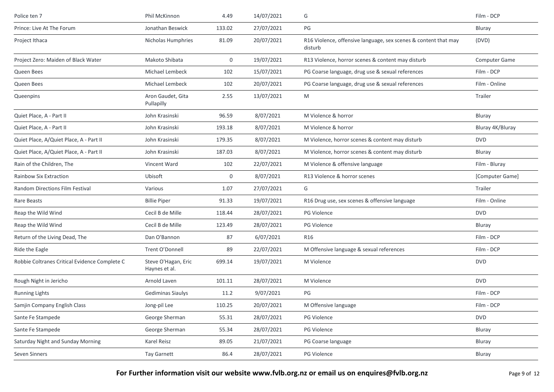| Police ten 7                                  | Phil McKinnon                        | 4.49        | 14/07/2021 | G                                                                          | Film - DCP       |
|-----------------------------------------------|--------------------------------------|-------------|------------|----------------------------------------------------------------------------|------------------|
| Prince: Live At The Forum                     | Jonathan Beswick                     | 133.02      | 27/07/2021 | PG                                                                         | Bluray           |
| Project Ithaca                                | Nicholas Humphries                   | 81.09       | 20/07/2021 | R16 Violence, offensive language, sex scenes & content that may<br>disturb | (DVD)            |
| Project Zero: Maiden of Black Water           | Makoto Shibata                       | 0           | 19/07/2021 | R13 Violence, horror scenes & content may disturb                          | Computer Game    |
| Queen Bees                                    | Michael Lembeck                      | 102         | 15/07/2021 | PG Coarse language, drug use & sexual references                           | Film - DCP       |
| Queen Bees                                    | Michael Lembeck                      | 102         | 20/07/2021 | PG Coarse language, drug use & sexual references                           | Film - Online    |
| Queenpins                                     | Aron Gaudet, Gita<br>Pullapilly      | 2.55        | 13/07/2021 | M                                                                          | Trailer          |
| Quiet Place, A - Part II                      | John Krasinski                       | 96.59       | 8/07/2021  | M Violence & horror                                                        | Bluray           |
| Quiet Place, A - Part II                      | John Krasinski                       | 193.18      | 8/07/2021  | M Violence & horror                                                        | Bluray 4K/Bluray |
| Quiet Place, A/Quiet Place, A - Part II       | John Krasinski                       | 179.35      | 8/07/2021  | M Violence, horror scenes & content may disturb                            | <b>DVD</b>       |
| Quiet Place, A/Quiet Place, A - Part II       | John Krasinski                       | 187.03      | 8/07/2021  | M Violence, horror scenes & content may disturb                            | Bluray           |
| Rain of the Children, The                     | Vincent Ward                         | 102         | 22/07/2021 | M Violence & offensive language                                            | Film - Bluray    |
| <b>Rainbow Six Extraction</b>                 | Ubisoft                              | $\mathbf 0$ | 8/07/2021  | R13 Violence & horror scenes                                               | [Computer Game]  |
| <b>Random Directions Film Festival</b>        | Various                              | 1.07        | 27/07/2021 | G                                                                          | Trailer          |
| Rare Beasts                                   | <b>Billie Piper</b>                  | 91.33       | 19/07/2021 | R16 Drug use, sex scenes & offensive language                              | Film - Online    |
| Reap the Wild Wind                            | Cecil B de Mille                     | 118.44      | 28/07/2021 | <b>PG Violence</b>                                                         | <b>DVD</b>       |
| Reap the Wild Wind                            | Cecil B de Mille                     | 123.49      | 28/07/2021 | <b>PG Violence</b>                                                         | Bluray           |
| Return of the Living Dead, The                | Dan O'Bannon                         | 87          | 6/07/2021  | R16                                                                        | Film - DCP       |
| Ride the Eagle                                | Trent O'Donnell                      | 89          | 22/07/2021 | M Offensive language & sexual references                                   | Film - DCP       |
| Robbie Coltranes Critical Evidence Complete C | Steve O'Hagan, Eric<br>Haynes et al. | 699.14      | 19/07/2021 | M Violence                                                                 | <b>DVD</b>       |
| Rough Night in Jericho                        | Arnold Laven                         | 101.11      | 28/07/2021 | M Violence                                                                 | <b>DVD</b>       |
| <b>Running Lights</b>                         | Gediminas Siaulys                    | 11.2        | 9/07/2021  | PG                                                                         | Film - DCP       |
| Samjin Company English Class                  | Jong-pil Lee                         | 110.25      | 20/07/2021 | M Offensive language                                                       | Film - DCP       |
| Sante Fe Stampede                             | George Sherman                       | 55.31       | 28/07/2021 | PG Violence                                                                | <b>DVD</b>       |
| Sante Fe Stampede                             | George Sherman                       | 55.34       | 28/07/2021 | PG Violence                                                                | Bluray           |
| Saturday Night and Sunday Morning             | Karel Reisz                          | 89.05       | 21/07/2021 | PG Coarse language                                                         | Bluray           |
| Seven Sinners                                 | Tay Garnett                          | 86.4        | 28/07/2021 | PG Violence                                                                | Bluray           |

For Further information visit our website www.fvlb.org.nz or email us on enquires@fvlb.org.nz<br>Page 9 of 12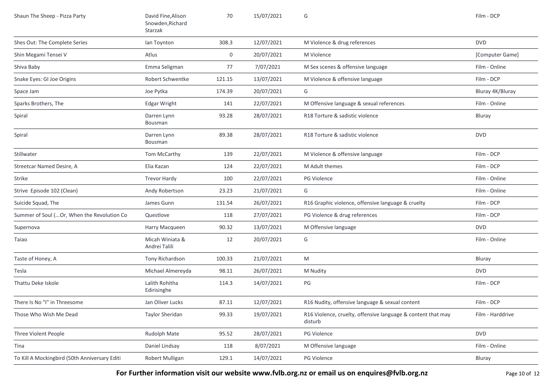| Shaun The Sheep - Pizza Party                 | David Fine, Alison<br>Snowden, Richard<br>Starzak | 70     | 15/07/2021 | G                                                                       | Film - DCP       |
|-----------------------------------------------|---------------------------------------------------|--------|------------|-------------------------------------------------------------------------|------------------|
| Shes Out: The Complete Series                 | lan Toynton                                       | 308.3  | 12/07/2021 | M Violence & drug references                                            | <b>DVD</b>       |
| Shin Megami Tensei V                          | Atlus                                             | 0      | 20/07/2021 | M Violence                                                              | [Computer Game]  |
| Shiva Baby                                    | Emma Seligman                                     | 77     | 7/07/2021  | M Sex scenes & offensive language                                       | Film - Online    |
| Snake Eyes: GI Joe Origins                    | Robert Schwentke                                  | 121.15 | 13/07/2021 | M Violence & offensive language                                         | Film - DCP       |
| Space Jam                                     | Joe Pytka                                         | 174.39 | 20/07/2021 | G                                                                       | Bluray 4K/Bluray |
| Sparks Brothers, The                          | Edgar Wright                                      | 141    | 22/07/2021 | M Offensive language & sexual references                                | Film - Online    |
| Spiral                                        | Darren Lynn<br>Bousman                            | 93.28  | 28/07/2021 | R18 Torture & sadistic violence                                         | Bluray           |
| Spiral                                        | Darren Lynn<br>Bousman                            | 89.38  | 28/07/2021 | R18 Torture & sadistic violence                                         | <b>DVD</b>       |
| Stillwater                                    | Tom McCarthy                                      | 139    | 22/07/2021 | M Violence & offensive language                                         | Film - DCP       |
| Streetcar Named Desire, A                     | Elia Kazan                                        | 124    | 22/07/2021 | M Adult themes                                                          | Film - DCP       |
| Strike                                        | <b>Trevor Hardy</b>                               | 100    | 22/07/2021 | <b>PG Violence</b>                                                      | Film - Online    |
| Strive Episode 102 (Clean)                    | Andy Robertson                                    | 23.23  | 21/07/2021 | G                                                                       | Film - Online    |
| Suicide Squad, The                            | James Gunn                                        | 131.54 | 26/07/2021 | R16 Graphic violence, offensive language & cruelty                      | Film - DCP       |
| Summer of Soul ( Or, When the Revolution Co   | Questlove                                         | 118    | 27/07/2021 | PG Violence & drug references                                           | Film - DCP       |
| Supernova                                     | Harry Macqueen                                    | 90.32  | 13/07/2021 | M Offensive language                                                    | <b>DVD</b>       |
| Taiao                                         | Micah Winiata &<br>Andrei Talili                  | 12     | 20/07/2021 | G                                                                       | Film - Online    |
| Taste of Honey, A                             | Tony Richardson                                   | 100.33 | 21/07/2021 | M                                                                       | Bluray           |
| Tesla                                         | Michael Almereyda                                 | 98.11  | 26/07/2021 | M Nudity                                                                | <b>DVD</b>       |
| Thattu Deke Iskole                            | Lalith Rohitha<br>Edirisinghe                     | 114.3  | 14/07/2021 | $PG$                                                                    | Film - DCP       |
| There Is No "I" in Threesome                  | Jan Oliver Lucks                                  | 87.11  | 12/07/2021 | R16 Nudity, offensive language & sexual content                         | Film - DCP       |
| Those Who Wish Me Dead                        | <b>Taylor Sheridan</b>                            | 99.33  | 19/07/2021 | R16 Violence, cruelty, offensive language & content that may<br>disturb | Film - Harddrive |
| Three Violent People                          | Rudolph Mate                                      | 95.52  | 28/07/2021 | PG Violence                                                             | <b>DVD</b>       |
| Tina                                          | Daniel Lindsay                                    | 118    | 8/07/2021  | M Offensive language                                                    | Film - Online    |
| To Kill A Mockingbird (50th Anniversary Editi | Robert Mulligan                                   | 129.1  | 14/07/2021 | PG Violence                                                             | Bluray           |

For Further information visit our website www.fvlb.org.nz or email us on enquires@fvlb.org.nz<br>Page 10 of 12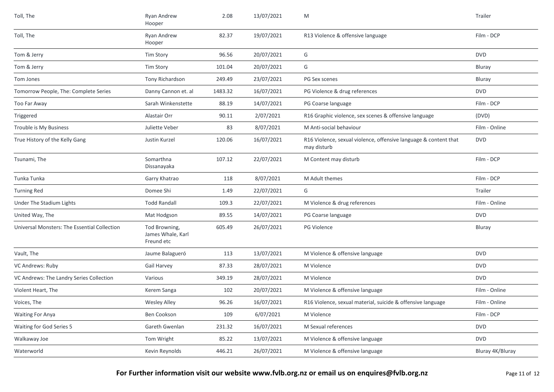| Toll, The                                    | Ryan Andrew<br>Hooper                            | 2.08    | 13/07/2021 | M                                                                               | Trailer          |
|----------------------------------------------|--------------------------------------------------|---------|------------|---------------------------------------------------------------------------------|------------------|
| Toll, The                                    | Ryan Andrew<br>Hooper                            | 82.37   | 19/07/2021 | R13 Violence & offensive language                                               | Film - DCP       |
| Tom & Jerry                                  | <b>Tim Story</b>                                 | 96.56   | 20/07/2021 | G                                                                               | <b>DVD</b>       |
| Tom & Jerry                                  | <b>Tim Story</b>                                 | 101.04  | 20/07/2021 | G                                                                               | Bluray           |
| Tom Jones                                    | Tony Richardson                                  | 249.49  | 23/07/2021 | PG Sex scenes                                                                   | Bluray           |
| Tomorrow People, The: Complete Series        | Danny Cannon et. al                              | 1483.32 | 16/07/2021 | PG Violence & drug references                                                   | <b>DVD</b>       |
| Too Far Away                                 | Sarah Winkenstette                               | 88.19   | 14/07/2021 | PG Coarse language                                                              | Film - DCP       |
| Triggered                                    | Alastair Orr                                     | 90.11   | 2/07/2021  | R16 Graphic violence, sex scenes & offensive language                           | (DVD)            |
| Trouble is My Business                       | Juliette Veber                                   | 83      | 8/07/2021  | M Anti-social behaviour                                                         | Film - Online    |
| True History of the Kelly Gang               | Justin Kurzel                                    | 120.06  | 16/07/2021 | R16 Violence, sexual violence, offensive language & content that<br>may disturb | <b>DVD</b>       |
| Tsunami, The                                 | Somarthna<br>Dissanayaka                         | 107.12  | 22/07/2021 | M Content may disturb                                                           | Film - DCP       |
| Tunka Tunka                                  | Garry Khatrao                                    | 118     | 8/07/2021  | M Adult themes                                                                  | Film - DCP       |
| <b>Turning Red</b>                           | Domee Shi                                        | 1.49    | 22/07/2021 | G                                                                               | Trailer          |
| Under The Stadium Lights                     | <b>Todd Randall</b>                              | 109.3   | 22/07/2021 | M Violence & drug references                                                    | Film - Online    |
| United Way, The                              | Mat Hodgson                                      | 89.55   | 14/07/2021 | PG Coarse language                                                              | <b>DVD</b>       |
| Universal Monsters: The Essential Collection | Tod Browning,<br>James Whale, Karl<br>Freund etc | 605.49  | 26/07/2021 | PG Violence                                                                     | Bluray           |
| Vault, The                                   | Jaume Balagueró                                  | 113     | 13/07/2021 | M Violence & offensive language                                                 | <b>DVD</b>       |
| VC Andrews: Ruby                             | Gail Harvey                                      | 87.33   | 28/07/2021 | M Violence                                                                      | <b>DVD</b>       |
| VC Andrews: The Landry Series Collection     | Various                                          | 349.19  | 28/07/2021 | M Violence                                                                      | <b>DVD</b>       |
| Violent Heart, The                           | Kerem Sanga                                      | 102     | 20/07/2021 | M Violence & offensive language                                                 | Film - Online    |
| Voices, The                                  | <b>Wesley Alley</b>                              | 96.26   | 16/07/2021 | R16 Violence, sexual material, suicide & offensive language                     | Film - Online    |
| <b>Waiting For Anya</b>                      | Ben Cookson                                      | 109     | 6/07/2021  | M Violence                                                                      | Film - DCP       |
| Waiting for God Series 5                     | Gareth Gwenlan                                   | 231.32  | 16/07/2021 | M Sexual references                                                             | <b>DVD</b>       |
| Walkaway Joe                                 | Tom Wright                                       | 85.22   | 13/07/2021 | M Violence & offensive language                                                 | <b>DVD</b>       |
| Waterworld                                   | Kevin Reynolds                                   | 446.21  | 26/07/2021 | M Violence & offensive language                                                 | Bluray 4K/Bluray |
|                                              |                                                  |         |            |                                                                                 |                  |